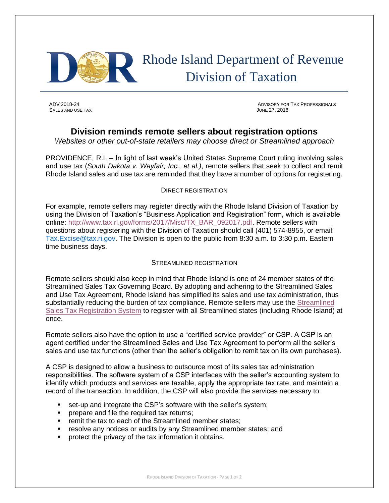

# Rhode Island Department of Revenue Division of Taxation

SALES AND USE TAX **SALES AND USE TAX SALES** AND USE TAX

ADV 2018-24 ADVISORY FOR TAX PROFESSIONALS

# **Division reminds remote sellers about registration options**

*Websites or other out-of-state retailers may choose direct or Streamlined approach*

PROVIDENCE, R.I. – In light of last week's United States Supreme Court ruling involving sales and use tax (*South Dakota v. Wayfair, Inc., et al.)*, remote sellers that seek to collect and remit Rhode Island sales and use tax are reminded that they have a number of options for registering.

## DIRECT REGISTRATION

For example, remote sellers may register directly with the Rhode Island Division of Taxation by using the Division of Taxation's "Business Application and Registration" form, which is available online: [http://www.tax.ri.gov/forms/2017/Misc/TX\\_BAR\\_092017.pdf.](http://www.tax.ri.gov/forms/2017/Misc/TX_BAR_092017.pdf) Remote sellers with questions about registering with the Division of Taxation should call (401) 574-8955, or email: [Tax.Excise@tax.ri.gov.](mailto:Tax.Excise@tax.ri.gov) The Division is open to the public from 8:30 a.m. to 3:30 p.m. Eastern time business days.

## STREAMLINED REGISTRATION

Remote sellers should also keep in mind that Rhode Island is one of 24 member states of the Streamlined Sales Tax Governing Board. By adopting and adhering to the Streamlined Sales and Use Tax Agreement, Rhode Island has simplified its sales and use tax administration, thus substantially reducing the burden of tax compliance. Remote sellers may use the [Streamlined](http://www.streamlinedsalestax.org/index.php?page=technology-registration)  [Sales Tax Registration System](http://www.streamlinedsalestax.org/index.php?page=technology-registration) to register with all Streamlined states (including Rhode Island) at once.

Remote sellers also have the option to use a "certified service provider" or CSP. A CSP is an agent certified under the Streamlined Sales and Use Tax Agreement to perform all the seller's sales and use tax functions (other than the seller's obligation to remit tax on its own purchases).

A CSP is designed to allow a business to outsource most of its sales tax administration responsibilities. The software system of a CSP interfaces with the seller's accounting system to identify which products and services are taxable, apply the appropriate tax rate, and maintain a record of the transaction. In addition, the CSP will also provide the services necessary to:

- set-up and integrate the CSP's software with the seller's system;
- prepare and file the required tax returns;
- remit the tax to each of the Streamlined member states;
- **EXE** resolve any notices or audits by any Streamlined member states; and
- protect the privacy of the tax information it obtains.